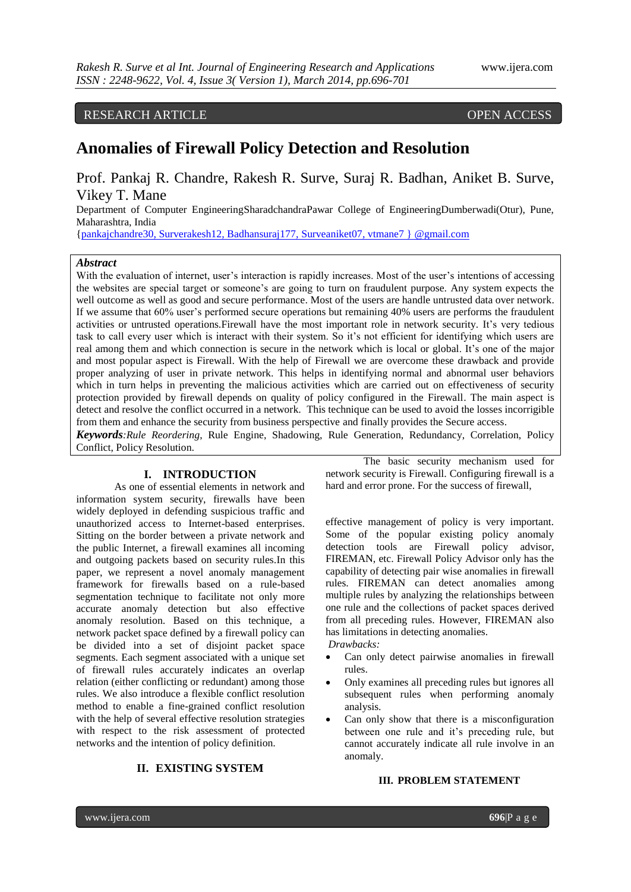RESEARCH ARTICLE OPEN ACCESS

# **Anomalies of Firewall Policy Detection and Resolution**

Prof. Pankaj R. Chandre, Rakesh R. Surve, Suraj R. Badhan, Aniket B. Surve, Vikey T. Mane

Department of Computer EngineeringSharadchandraPawar College of EngineeringDumberwadi(Otur), Pune, Maharashtra, India

[{pankajchandre30,](mailto:pankajchandre30@gmail.com) Surverakesh12, Badhansuraj177, Surveaniket07, vtmane7 } @gmail.com

# *Abstract*

With the evaluation of internet, user's interaction is rapidly increases. Most of the user's intentions of accessing the websites are special target or someone's are going to turn on fraudulent purpose. Any system expects the well outcome as well as good and secure performance. Most of the users are handle untrusted data over network. If we assume that 60% user's performed secure operations but remaining 40% users are performs the fraudulent activities or untrusted operations.Firewall have the most important role in network security. It's very tedious task to call every user which is interact with their system. So it's not efficient for identifying which users are real among them and which connection is secure in the network which is local or global. It's one of the major and most popular aspect is Firewall. With the help of Firewall we are overcome these drawback and provide proper analyzing of user in private network. This helps in identifying normal and abnormal user behaviors which in turn helps in preventing the malicious activities which are carried out on effectiveness of security protection provided by firewall depends on quality of policy configured in the Firewall. The main aspect is detect and resolve the conflict occurred in a network. This technique can be used to avoid the losses incorrigible from them and enhance the security from business perspective and finally provides the Secure access. *Keywords:Rule Reordering*, Rule Engine, Shadowing, Rule Generation, Redundancy, Correlation, Policy

Conflict, Policy Resolution.

# **I. INTRODUCTION**

As one of essential elements in network and information system security, firewalls have been widely deployed in defending suspicious traffic and unauthorized access to Internet-based enterprises. Sitting on the border between a private network and the public Internet, a firewall examines all incoming and outgoing packets based on security rules.In this paper, we represent a novel anomaly management framework for firewalls based on a rule-based segmentation technique to facilitate not only more accurate anomaly detection but also effective anomaly resolution. Based on this technique, a network packet space defined by a firewall policy can be divided into a set of disjoint packet space segments. Each segment associated with a unique set of firewall rules accurately indicates an overlap relation (either conflicting or redundant) among those rules. We also introduce a flexible conflict resolution method to enable a fine-grained conflict resolution with the help of several effective resolution strategies with respect to the risk assessment of protected networks and the intention of policy definition.

**II. EXISTING SYSTEM**

The basic security mechanism used for network security is Firewall. Configuring firewall is a hard and error prone. For the success of firewall,

effective management of policy is very important. Some of the popular existing policy anomaly detection tools are Firewall policy advisor, FIREMAN, etc. Firewall Policy Advisor only has the capability of detecting pair wise anomalies in firewall rules. FIREMAN can detect anomalies among multiple rules by analyzing the relationships between one rule and the collections of packet spaces derived from all preceding rules. However, FIREMAN also has limitations in detecting anomalies.

*Drawbacks:*

- Can only detect pairwise anomalies in firewall rules.
- Only examines all preceding rules but ignores all subsequent rules when performing anomaly analysis.
- Can only show that there is a misconfiguration between one rule and it's preceding rule, but cannot accurately indicate all rule involve in an anomaly.

### **III. PROBLEM STATEMENT**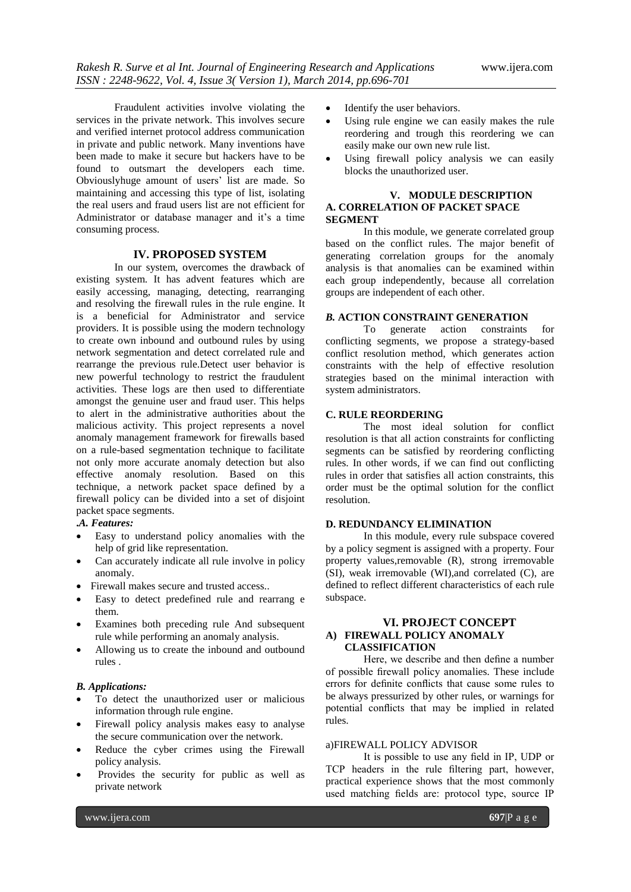Fraudulent activities involve violating the services in the private network. This involves secure and verified internet protocol address communication in private and public network. Many inventions have been made to make it secure but hackers have to be found to outsmart the developers each time. Obviouslyhuge amount of users' list are made. So maintaining and accessing this type of list, isolating the real users and fraud users list are not efficient for Administrator or database manager and it's a time consuming process.

#### **IV. PROPOSED SYSTEM**

In our system, overcomes the drawback of existing system. It has advent features which are easily accessing, managing, detecting, rearranging and resolving the firewall rules in the rule engine. It is a beneficial for Administrator and service providers. It is possible using the modern technology to create own inbound and outbound rules by using network segmentation and detect correlated rule and rearrange the previous rule.Detect user behavior is new powerful technology to restrict the fraudulent activities. These logs are then used to differentiate amongst the genuine user and fraud user. This helps to alert in the administrative authorities about the malicious activity. This project represents a novel anomaly management framework for firewalls based on a rule-based segmentation technique to facilitate not only more accurate anomaly detection but also effective anomaly resolution. Based on this technique, a network packet space defined by a firewall policy can be divided into a set of disjoint packet space segments.

#### **.***A. Features:*

- Easy to understand policy anomalies with the help of grid like representation.
- Can accurately indicate all rule involve in policy anomaly.
- Firewall makes secure and trusted access..
- Easy to detect predefined rule and rearrang e them.
- Examines both preceding rule And subsequent rule while performing an anomaly analysis.
- Allowing us to create the inbound and outbound rules .

#### *B. Applications:*

- To detect the unauthorized user or malicious information through rule engine.
- Firewall policy analysis makes easy to analyse the secure communication over the network.
- Reduce the cyber crimes using the Firewall policy analysis.
- Provides the security for public as well as private network
- Identify the user behaviors.
- Using rule engine we can easily makes the rule reordering and trough this reordering we can easily make our own new rule list.
- Using firewall policy analysis we can easily blocks the unauthorized user.

#### **V. MODULE DESCRIPTION A. CORRELATION OF PACKET SPACE SEGMENT**

In this module, we generate correlated group based on the conflict rules. The major benefit of generating correlation groups for the anomaly analysis is that anomalies can be examined within each group independently, because all correlation groups are independent of each other.

#### *B.* **ACTION CONSTRAINT GENERATION**

To generate action constraints for conflicting segments, we propose a strategy-based conflict resolution method, which generates action constraints with the help of effective resolution strategies based on the minimal interaction with system administrators.

### **C. RULE REORDERING**

The most ideal solution for conflict resolution is that all action constraints for conflicting segments can be satisfied by reordering conflicting rules. In other words, if we can find out conflicting rules in order that satisfies all action constraints, this order must be the optimal solution for the conflict resolution.

#### **D. REDUNDANCY ELIMINATION**

In this module, every rule subspace covered by a policy segment is assigned with a property. Four property values,removable (R), strong irremovable (SI), weak irremovable (WI),and correlated (C), are defined to reflect different characteristics of each rule subspace.

### **VI. PROJECT CONCEPT A) FIREWALL POLICY ANOMALY CLASSIFICATION**

Here, we describe and then define a number of possible firewall policy anomalies. These include errors for definite conflicts that cause some rules to be always pressurized by other rules, or warnings for potential conflicts that may be implied in related rules.

#### a)FIREWALL POLICY ADVISOR

It is possible to use any field in IP, UDP or TCP headers in the rule filtering part, however, practical experience shows that the most commonly used matching fields are: protocol type, source IP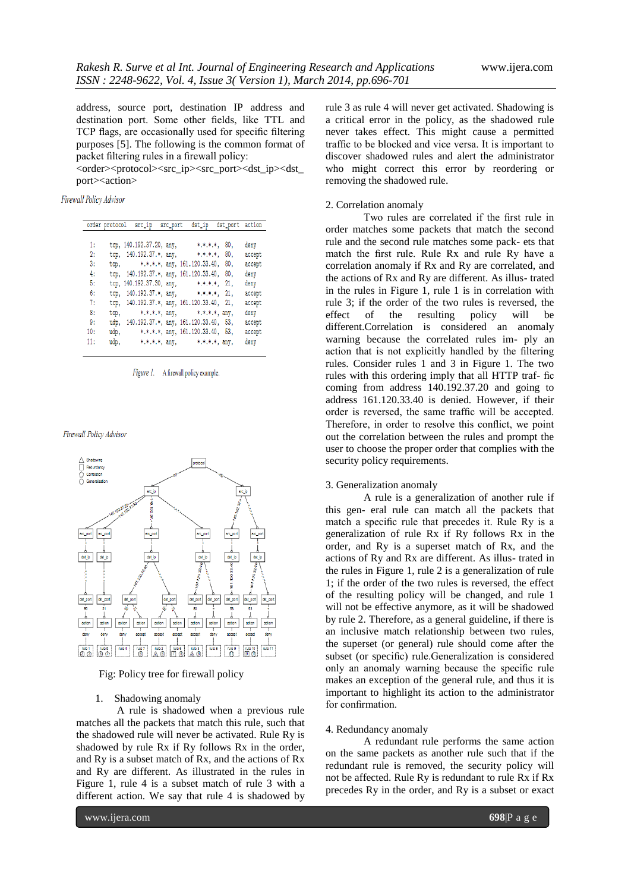address, source port, destination IP address and destination port. Some other fields, like TTL and TCP flags, are occasionally used for specific filtering purposes [5]. The following is the common format of packet filtering rules in a firewall policy:

<order><protocol><src\_ip><src\_port><dst\_ip><dst port><action>

Firewall Policy Advisor

|     | order protocol | src_ip                                 | src_port | dst_ip                         | dst_port        | action |
|-----|----------------|----------------------------------------|----------|--------------------------------|-----------------|--------|
| 1:  |                | tcp, 140.192.37.20, any,               |          | $*,*,*,*,*,$                   | 80,             | deny   |
| 2:  |                | tcp, 140.192.37.*, any,                |          | *.*.*.*.                       | 80,             | accept |
| 3:  | tcp.           |                                        |          | $*,*,*,*,$ any, 161.120.33.40, | 80,             | accept |
| 4:  | tcp.           | 140.192.37.*, any, 161.120.33.40,      |          |                                | 80,             | deny   |
| 5:  |                | tcp, 140.192.37.30, any,               |          | *.*.*.*.                       | 21.             | deny   |
| 6:  | tcp.           | 140.192.37.*, any,                     |          | * * * *                        | 21.             | accept |
| 7:  | tcp.           | 140.192.37.*, any, 161.120.33.40,      |          |                                | 21.             | accept |
| 8:  | tcp.           | * * * *, any,                          |          |                                | $*,*,*,*,$ any, | deny   |
| 9:  |                | udp, 140.192.37.*, any, 161.120.33.40, |          |                                | 53,             | accept |
| 10: | udp,           |                                        |          | $*,*,*,*,$ any, 161.120.33.40, | 53.             | accept |
| 11: | udp.           | $*.*.*.*, any,$                        |          | *.*.*.*. anv.                  |                 | deny   |



Firewall Policy Advisor



Fig: Policy tree for firewall policy

#### 1. Shadowing anomaly

A rule is shadowed when a previous rule matches all the packets that match this rule, such that the shadowed rule will never be activated. Rule Ry is shadowed by rule Rx if Ry follows Rx in the order, and Ry is a subset match of Rx, and the actions of Rx and Ry are different. As illustrated in the rules in Figure 1, rule 4 is a subset match of rule 3 with a different action. We say that rule 4 is shadowed by

rule 3 as rule 4 will never get activated. Shadowing is a critical error in the policy, as the shadowed rule never takes effect. This might cause a permitted traffic to be blocked and vice versa. It is important to discover shadowed rules and alert the administrator who might correct this error by reordering or removing the shadowed rule.

#### 2. Correlation anomaly

Two rules are correlated if the first rule in order matches some packets that match the second rule and the second rule matches some pack- ets that match the first rule. Rule Rx and rule Ry have a correlation anomaly if Rx and Ry are correlated, and the actions of Rx and Ry are different. As illus- trated in the rules in Figure 1, rule 1 is in correlation with rule 3; if the order of the two rules is reversed, the effect of the resulting policy will be different.Correlation is considered an anomaly warning because the correlated rules im- ply an action that is not explicitly handled by the filtering rules. Consider rules 1 and 3 in Figure 1. The two rules with this ordering imply that all HTTP traf- fic coming from address 140.192.37.20 and going to address 161.120.33.40 is denied. However, if their order is reversed, the same traffic will be accepted. Therefore, in order to resolve this conflict, we point out the correlation between the rules and prompt the user to choose the proper order that complies with the security policy requirements.

#### 3. Generalization anomaly

A rule is a generalization of another rule if this gen- eral rule can match all the packets that match a specific rule that precedes it. Rule Ry is a generalization of rule Rx if Ry follows Rx in the order, and Ry is a superset match of Rx, and the actions of Ry and Rx are different. As illus- trated in the rules in Figure 1, rule 2 is a generalization of rule 1; if the order of the two rules is reversed, the effect of the resulting policy will be changed, and rule 1 will not be effective anymore, as it will be shadowed by rule 2. Therefore, as a general guideline, if there is an inclusive match relationship between two rules, the superset (or general) rule should come after the subset (or specific) rule.Generalization is considered only an anomaly warning because the specific rule makes an exception of the general rule, and thus it is important to highlight its action to the administrator for confirmation.

#### 4. Redundancy anomaly

A redundant rule performs the same action on the same packets as another rule such that if the redundant rule is removed, the security policy will not be affected. Rule Ry is redundant to rule Rx if Rx precedes Ry in the order, and Ry is a subset or exact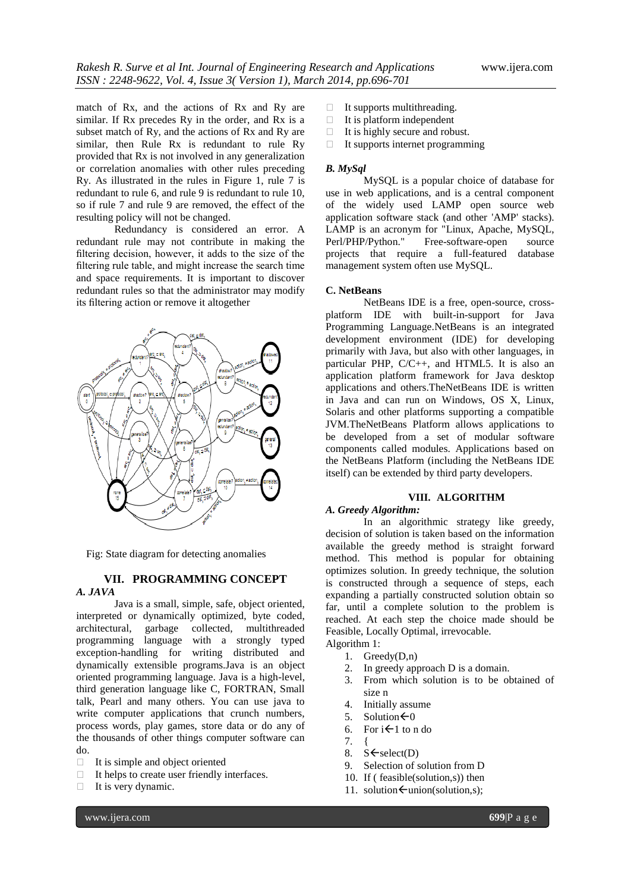match of Rx, and the actions of Rx and Ry are similar. If Rx precedes Ry in the order, and Rx is a subset match of Ry, and the actions of Rx and Ry are similar, then Rule Rx is redundant to rule Ry provided that Rx is not involved in any generalization or correlation anomalies with other rules preceding Ry. As illustrated in the rules in Figure 1, rule 7 is redundant to rule 6, and rule 9 is redundant to rule 10, so if rule 7 and rule 9 are removed, the effect of the resulting policy will not be changed.

Redundancy is considered an error. A redundant rule may not contribute in making the filtering decision, however, it adds to the size of the filtering rule table, and might increase the search time and space requirements. It is important to discover redundant rules so that the administrator may modify its filtering action or remove it altogether



Fig: State diagram for detecting anomalies

#### **VII. PROGRAMMING CONCEPT** *A. JAVA*

Java is a small, simple, safe, object oriented, interpreted or dynamically optimized, byte coded, architectural, garbage collected, multithreaded programming language with a strongly typed exception-handling for writing distributed and dynamically extensible programs.Java is an object oriented programming language. Java is a high-level, third generation language like C, FORTRAN, Small talk, Pearl and many others. You can use java to write computer applications that crunch numbers, process words, play games, store data or do any of the thousands of other things computer software can do.

- It is simple and object oriented
- $\Box$  It helps to create user friendly interfaces.
- $\Box$  It is very dynamic.
- $\Box$  It supports multithreading.
- $\Box$  It is platform independent
- $\Box$  It is highly secure and robust.
- $\Box$  It supports internet programming

#### *B. MySql*

MySQL is a popular choice of database for use in web applications, and is a central component of the widely used [LAMP](http://en.wikipedia.org/wiki/LAMP_(software_bundle)) open source web application software stack (and other ['AMP'](http://en.wikipedia.org/wiki/List_of_AMP_packages) stacks). LAMP is an acronym for ["Linux,](http://en.wikipedia.org/wiki/Linux) [Apache,](http://en.wikipedia.org/wiki/Apache_HTTP_Server) MySQL, [Perl](http://en.wikipedia.org/wiki/Perl)[/PHP](http://en.wikipedia.org/wiki/PHP)[/Python.](http://en.wikipedia.org/wiki/Python_(programming_language))" [Free-software-](http://en.wikipedia.org/wiki/Free_software)open source projects that require a full-featured database management system often use MySQL.

#### **C. NetBeans**

NetBeans IDE is a free, open-source, crossplatform IDE with built-in-support for Java Programming Language.NetBeans is an [integrated](http://en.wikipedia.org/wiki/Integrated_development_environment)  [development environment](http://en.wikipedia.org/wiki/Integrated_development_environment) (IDE) for developing primarily with [Java,](http://en.wikipedia.org/wiki/Java_(programming_language)) but also with other languages, in particular [PHP,](http://en.wikipedia.org/wiki/PHP) [C](http://en.wikipedia.org/wiki/C_(programming_language))[/C++,](http://en.wikipedia.org/wiki/C%2B%2B) and [HTML5.](http://en.wikipedia.org/wiki/HTML5) It is also an [application platform](http://en.wikipedia.org/wiki/Platform_(computing)) framework for Java desktop applications and others.TheNetBeans IDE is written in Java and can run on Windows, OS X, Linux, Solaris and other platforms supporting a compatible [JVM.T](http://en.wikipedia.org/wiki/Java_Virtual_Machine)heNetBeans Platform allows applications to be developed from a set of modular [software](http://en.wikipedia.org/wiki/Software_component)  [components](http://en.wikipedia.org/wiki/Software_component) called modules. Applications based on the NetBeans Platform (including the NetBeans IDE itself) can be extended b[y third party developers.](http://en.wikipedia.org/wiki/Third_party_developer)

### **VIII. ALGORITHM**

#### *A. Greedy Algorithm:*

In an algorithmic strategy like greedy, decision of solution is taken based on the information available the greedy method is straight forward method. This method is popular for obtaining optimizes solution. In greedy technique, the solution is constructed through a sequence of steps, each expanding a partially constructed solution obtain so far, until a complete solution to the problem is reached. At each step the choice made should be Feasible, Locally Optimal, irrevocable. Algorithm 1:

- 1. Greedy(D,n)
- 2. In greedy approach D is a domain.
- 3. From which solution is to be obtained of size n
- 4. Initially assume
- 5. Solution $\leftarrow 0$
- 6. For  $i \leftarrow 1$  to n do
- 7. {
- 8.  $S \leftarrow \text{select}(D)$
- 9. Selection of solution from D
- 10. If ( feasible(solution,s)) then
- 11. solution $\leftarrow$ union(solution,s);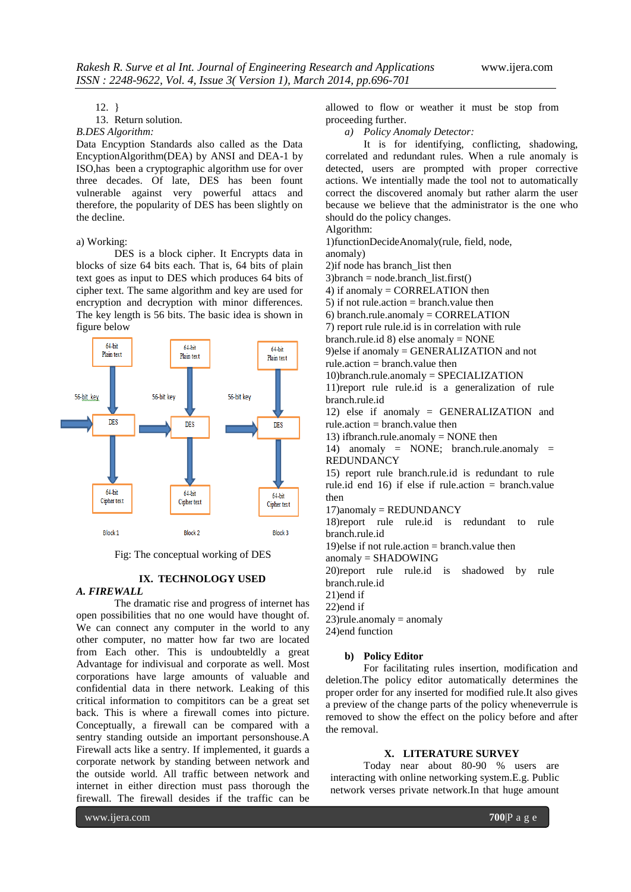# 12. }

13. Return solution.

#### *B.DES Algorithm:*

Data Encyption Standards also called as the Data EncyptionAlgorithm(DEA) by ANSI and DEA-1 by ISO,has been a cryptographic algorithm use for over three decades. Of late, DES has been fount vulnerable against very powerful attacs and therefore, the popularity of DES has been slightly on the decline.

#### a) Working:

DES is a block cipher. It Encrypts data in blocks of size 64 bits each. That is, 64 bits of plain text goes as input to DES which produces 64 bits of cipher text. The same algorithm and key are used for encryption and decryption with minor differences. The key length is 56 bits. The basic idea is shown in figure below



Fig: The conceptual working of DES

#### **IX. TECHNOLOGY USED**

#### *A. FIREWALL*

The dramatic rise and progress of internet has open possibilities that no one would have thought of. We can connect any computer in the world to any other computer, no matter how far two are located from Each other. This is undoubteldly a great Advantage for indivisual and corporate as well. Most corporations have large amounts of valuable and confidential data in there network. Leaking of this critical information to compititors can be a great set back. This is where a firewall comes into picture. Conceptually, a firewall can be compared with a sentry standing outside an important personshouse.A Firewall acts like a sentry. If implemented, it guards a corporate network by standing between network and the outside world. All traffic between network and internet in either direction must pass thorough the firewall. The firewall desides if the traffic can be

allowed to flow or weather it must be stop from proceeding further.

*a) Policy Anomaly Detector:*

It is for identifying, conflicting, shadowing, correlated and redundant rules. When a rule anomaly is detected, users are prompted with proper corrective actions. We intentially made the tool not to automatically correct the discovered anomaly but rather alarm the user because we believe that the administrator is the one who should do the policy changes.

Algorithm:

1)functionDecideAnomaly(rule, field, node,

anomaly)

2)if node has branch\_list then

 $3)$ branch = node.branch list.first()

4) if anomaly = CORRELATION then

5) if not rule.action  $=$  branch.value then

6) branch.rule.anomaly = CORRELATION

7) report rule rule.id is in correlation with rule

branch.rule.id 8) else anomaly = NONE

9)else if anomaly = GENERALIZATION and not rule.action = branch.value then

10)branch.rule.anomaly = SPECIALIZATION

11)report rule rule.id is a generalization of rule branch.rule.id

12) else if anomaly = GENERALIZATION and rule.action  $=$  branch.value then

13) if branch.rule.anomaly  $=$  NONE then

14) anomaly = NONE; branch.rule.anomaly = REDUNDANCY

15) report rule branch.rule.id is redundant to rule rule.id end 16) if else if rule.action  $=$  branch.value then

17)anomaly = REDUNDANCY

18)report rule rule.id is redundant to rule branch.rule.id

19)else if not rule.action  $=$  branch.value then

anomaly = SHADOWING

20)report rule rule.id is shadowed by rule branch.rule.id

21)end if

22)end if

 $23$ )rule.anomaly = anomaly

24)end function

#### **b) Policy Editor**

For facilitating rules insertion, modification and deletion.The policy editor automatically determines the proper order for any inserted for modified rule.It also gives a preview of the change parts of the policy wheneverrule is removed to show the effect on the policy before and after the removal.

#### **X. LITERATURE SURVEY**

Today near about 80-90 % users are interacting with online networking system.E.g. Public network verses private network.In that huge amount

www.ijera.com **700**|P a g e